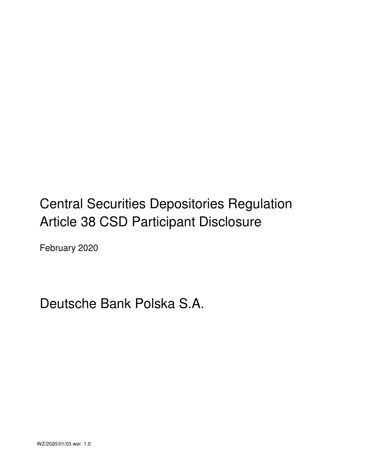# Central Securities Depositories Regulation Article 38 CSD Participant Disclosure

February 2020

# Deutsche Bank Polska S.A.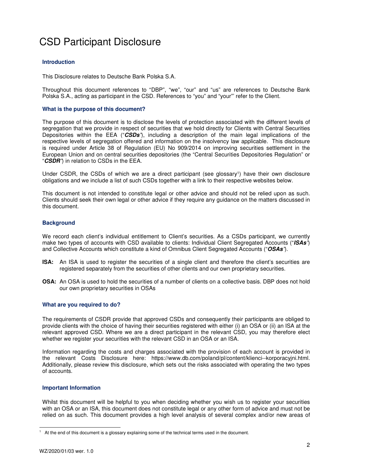# CSD Participant Disclosure

# **Introduction**

This Disclosure relates to Deutsche Bank Polska S.A.

Throughout this document references to "DBP", "we", "our" and "us" are references to Deutsche Bank Polska S.A., acting as participant in the CSD. References to "you" and "your"' refer to the Client.

# **What is the purpose of this document?**

The purpose of this document is to disclose the levels of protection associated with the different levels of segregation that we provide in respect of securities that we hold directly for Clients with Central Securities Depositories within the EEA ("**CSDs***"*), including a description of the main legal implications of the respective levels of segregation offered and information on the insolvency law applicable. This disclosure is required under Article 38 of Regulation (EU) No 909/2014 on improving securities settlement in the European Union and on central securities depositories (the "Central Securities Depositories Regulation" or "**CSDR***"*) in relation to CSDs in the EEA.

Under CSDR, the CSDs of which we are a direct participant (see glossary<sup>1</sup>) have their own disclosure obligations and we include a list of such CSDs together with a link to their respective websites below.

This document is not intended to constitute legal or other advice and should not be relied upon as such. Clients should seek their own legal or other advice if they require any guidance on the matters discussed in this document.

# **Background**

We record each client's individual entitlement to Client's securities. As a CSDs participant, we currently make two types of accounts with CSD available to clients: Individual Client Segregated Accounts ("**ISAs***"*) and Collective Accounts which constitute a kind of Omnibus Client Segregated Accounts ("**OSAs***"*).

- **ISA:** An ISA is used to register the securities of a single client and therefore the client's securities are registered separately from the securities of other clients and our own proprietary securities.
- **OSA:** An OSA is used to hold the securities of a number of clients on a collective basis. DBP does not hold our own proprietary securities in OSAs

# **What are you required to do?**

The requirements of CSDR provide that approved CSDs and consequently their participants are obliged to provide clients with the choice of having their securities registered with either (i) an OSA or (ii) an ISA at the relevant approved CSD. Where we are a direct participant in the relevant CSD, you may therefore elect whether we register your securities with the relevant CSD in an OSA or an ISA.

Information regarding the costs and charges associated with the provision of each account is provided in the relevant Costs Disclosure here: https://www.db.com/poland/pl/content/klienci--korporacyjni.html. Additionally, please review this disclosure, which sets out the risks associated with operating the two types of accounts.

# **Important Information**

Whilst this document will be helpful to you when deciding whether you wish us to register your securities with an OSA or an ISA, this document does not constitute legal or any other form of advice and must not be relied on as such. This document provides a high level analysis of several complex and/or new areas of

<sup>1</sup> 1 At the end of this document is a glossary explaining some of the technical terms used in the document.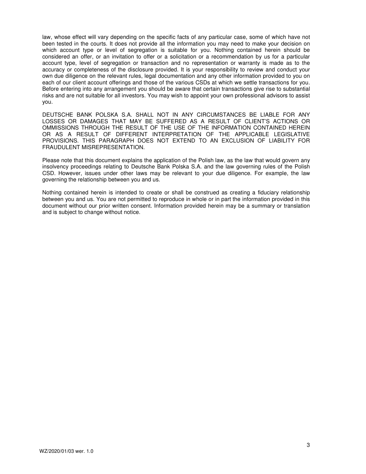law, whose effect will vary depending on the specific facts of any particular case, some of which have not been tested in the courts. It does not provide all the information you may need to make your decision on which account type or level of segregation is suitable for you. Nothing contained herein should be considered an offer, or an invitation to offer or a solicitation or a recommendation by us for a particular account type, level of segregation or transaction and no representation or warranty is made as to the accuracy or completeness of the disclosure provided. It is your responsibility to review and conduct your own due diligence on the relevant rules, legal documentation and any other information provided to you on each of our client account offerings and those of the various CSDs at which we settle transactions for you. Before entering into any arrangement you should be aware that certain transactions give rise to substantial risks and are not suitable for all investors. You may wish to appoint your own professional advisors to assist you.

DEUTSCHE BANK POLSKA S.A. SHALL NOT IN ANY CIRCUMSTANCES BE LIABLE FOR ANY LOSSES OR DAMAGES THAT MAY BE SUFFERED AS A RESULT OF CLIENT'S ACTIONS OR OMMISSIONS THROUGH THE RESULT OF THE USE OF THE INFORMATION CONTAINED HEREIN OR AS A RESULT OF DIFFERENT INTERPRETATION OF THE APPLICABLE LEGISLATIVE PROVISIONS. THIS PARAGRAPH DOES NOT EXTEND TO AN EXCLUSION OF LIABILITY FOR FRAUDULENT MISREPRESENTATION.

Please note that this document explains the application of the Polish law, as the law that would govern any insolvency proceedings relating to Deutsche Bank Polska S.A. and the law governing rules of the Polish CSD. However, issues under other laws may be relevant to your due diligence. For example, the law governing the relationship between you and us.

Nothing contained herein is intended to create or shall be construed as creating a fiduciary relationship between you and us. You are not permitted to reproduce in whole or in part the information provided in this document without our prior written consent. Information provided herein may be a summary or translation and is subject to change without notice.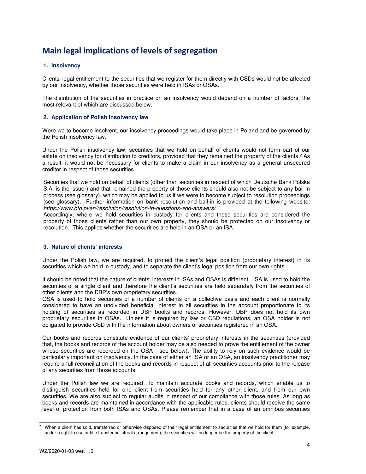# **Main legal implications of levels of segregation**

# **1. Insolvency**

Clients' legal entitlement to the securities that we register for them directly with CSDs would not be affected by our insolvency, whether those securities were held in ISAs or OSAs.

The distribution of the securities in practice on an insolvency would depend on a number of factors, the most relevant of which are discussed below.

# **2. Application of Polish insolvency law**

Were we to become insolvent, our insolvency proceedings would take place in Poland and be governed by the Polish insolvency law.

Under the Polish insolvency law, securities that we hold on behalf of clients would not form part of our estate on insolvency for distribution to creditors, provided that they remained the property of the clients.<sup>2</sup> As a result, it would not be necessary for clients to make a claim in our insolvency as a general unsecured creditor in respect of those securities.

Securities that we hold on behalf of clients (other than securities in respect of which Deutsche Bank Polska S.A. is the issuer) and that remained the property of those clients should also not be subject to any bail-in process (see glossary), which may be applied to us if we were to become subject to resolution proceedings (see glossary). Further information on bank resolution and bail-in is provided at the following website: *https://www.bfg.pl/en/resolution/resolution-in-questions-and-answers/*

Accordingly, where we hold securities in custody for clients and those securities are considered the property of those clients rather than our own property, they should be protected on our insolvency or resolution. This applies whether the securities are held in an OSA or an ISA.

# **3. Nature of clients' interests**

Under the Polish law, we are required, to protect the client's legal position (proprietary interest) in its securities which we hold in custody, and to separate the client's legal position from our own rights.

It should be noted that the nature of clients' interests in ISAs and OSAs is different. ISA is used to hold the securities of a single client and therefore the client's securities are held separately from the securities of other clients and the DBP's own proprietary securities.

OSA is used to hold securities of a number of clients on a collective basis and each client is normally considered to have an undivided beneficial interest in all securities in the account proportionate to its holding of securities as recorded in DBP books and records. However, DBP does not hold its own proprietary securities in OSAs. Unless it is required by law or CSD regulations, an OSA holder is not obligated to provide CSD with the information about owners of securities registered in an OSA.

Our books and records constitute evidence of our clients' proprietary interests in the securities (provided that, the books and records of the account holder may be also needed to prove the entitlement of the owner whose securities are recorded on the OSA - see below). The ability to rely on such evidence would be particularly important on insolvency. In the case of either an ISA or an OSA, an insolvency practitioner may require a full reconciliation of the books and records in respect of all securities accounts prior to the release of any securities from those accounts.

Under the Polish law we are required to maintain accurate books and records, which enable us to distinguish securities held for one client from securities held for any other client, and from our own securities. We are also subject to regular audits in respect of our compliance with those rules. As long as books and records are maintained in accordance with the applicable rules, clients should receive the same level of protection from both ISAs and OSAs. Please remember that in a case of an omnibus securities

<sup>1</sup> 2 When a client has sold, transferred or otherwise disposed of their legal entitlement to securities that we hold for them (for example, under a right to use or title transfer collateral arrangement), the securities will no longer be the property of the client.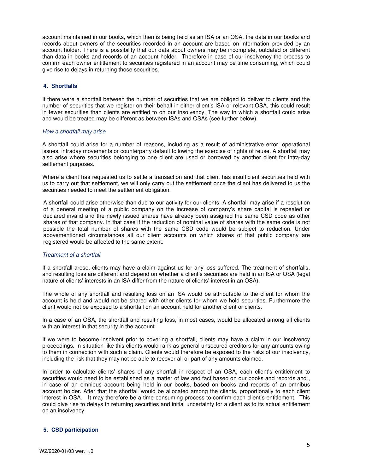account maintained in our books, which then is being held as an ISA or an OSA, the data in our books and records about owners of the securities recorded in an account are based on information provided by an account holder. There is a possibility that our data about owners may be incomplete, outdated or different than data in books and records of an account holder. Therefore in case of our insolvency the process to confirm each owner entitlement to securities registered in an account may be time consuming, which could give rise to delays in returning those securities.

# **4. Shortfalls**

If there were a shortfall between the number of securities that we are obliged to deliver to clients and the number of securities that we register on their behalf in either client's ISA or relevant OSA, this could result in fewer securities than clients are entitled to on our insolvency. The way in which a shortfall could arise and would be treated may be different as between ISAs and OSAs (see further below).

#### *How a shortfall may arise*

A shortfall could arise for a number of reasons, including as a result of administrative error, operational issues, intraday movements or counterparty default following the exercise of rights of reuse. A shortfall may also arise where securities belonging to one client are used or borrowed by another client for intra-day settlement purposes.

Where a client has requested us to settle a transaction and that client has insufficient securities held with us to carry out that settlement, we will only carry out the settlement once the client has delivered to us the securities needed to meet the settlement obligation.

A shortfall could arise otherwise than due to our activity for our clients. A shortfall may arise if a resolution of a general meeting of a public company on the increase of company's share capital is repealed or declared invalid and the newly issued shares have already been assigned the same CSD code as other shares of that company. In that case if the reduction of nominal value of shares with the same code is not possible the total number of shares with the same CSD code would be subject to reduction. Under abovementioned circumstances all our client accounts on which shares of that public company are registered would be affected to the same extent.

#### *Treatment of a shortfall*

If a shortfall arose, clients may have a claim against us for any loss suffered. The treatment of shortfalls, and resulting loss are different and depend on whether a client's securities are held in an ISA or OSA (legal nature of clients' interests in an ISA differ from the nature of clients' interest in an OSA).

The whole of any shortfall and resulting loss on an ISA would be attributable to the client for whom the account is held and would not be shared with other clients for whom we hold securities. Furthermore the client would not be exposed to a shortfall on an account held for another client or clients.

In a case of an OSA, the shortfall and resulting loss, in most cases, would be allocated among all clients with an interest in that security in the account.

If we were to become insolvent prior to covering a shortfall, clients may have a claim in our insolvency proceedings. In situation like this clients would rank as general unsecured creditors for any amounts owing to them in connection with such a claim. Clients would therefore be exposed to the risks of our insolvency, including the risk that they may not be able to recover all or part of any amounts claimed.

In order to calculate clients' shares of any shortfall in respect of an OSA, each client's entitlement to securities would need to be established as a matter of law and fact based on our books and records and , in case of an omnibus account being held in our books, based on books and records of an omnibus account holder. After that the shortfall would be allocated among the clients, proportionally to each client interest in OSA. It may therefore be a time consuming process to confirm each client's entitlement. This could give rise to delays in returning securities and initial uncertainty for a client as to its actual entitlement on an insolvency.

# **5. CSD participation**